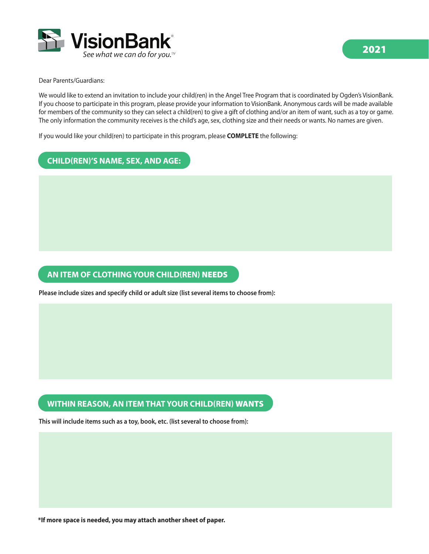

Dear Parents/Guardians:

We would like to extend an invitation to include your child(ren) in the Angel Tree Program that is coordinated by Ogden's VisionBank. If you choose to participate in this program, please provide your information to VisionBank. Anonymous cards will be made available for members of the community so they can select a child(ren) to give a gift of clothing and/or an item of want, such as a toy or game. The only information the community receives is the child's age, sex, clothing size and their needs or wants. No names are given.

If you would like your child(ren) to participate in this program, please **COMPLETE** the following:

## **CHILD(REN)'S NAME, SEX, AND AGE:**

## **AN ITEM OF CLOTHING YOUR CHILD(REN)** NEEDS

**Please include sizes and specify child or adult size (list several items to choose from):**

## **WITHIN REASON, AN ITEM THAT YOUR CHILD(REN)** WANTS

**This will include items such as a toy, book, etc. (list several to choose from):**

**\*If more space is needed, you may attach another sheet of paper.**